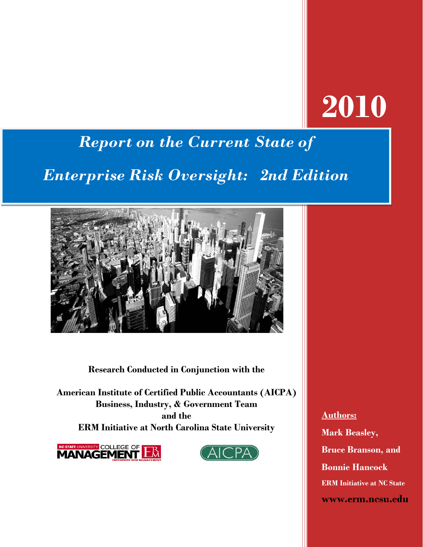# **2010**

# *Report on the Current State of*

# *Enterprise Risk Oversight: 2nd Edition*



**Research Conducted in Conjunction with the** 

**American Institute of Certified Public Accountants (AICPA) Business, Industry, & Government Team and the ERM Initiative at North Carolina State University**





**Authors: Mark Beasley, Bruce Branson, and Bonnie Hancock ERM Initiative at NC State www.erm.ncsu.edu**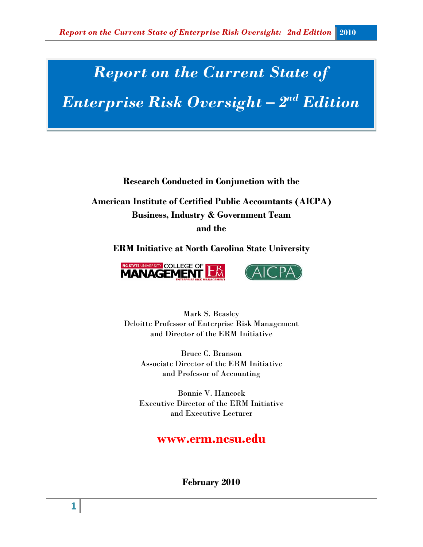# *Report on the Current State of*

*Enterprise Risk Oversight – 2nd Edition*

**Research Conducted in Conjunction with the** 

**American Institute of Certified Public Accountants (AICPA) Business, Industry & Government Team and the** 

**ERM Initiative at North Carolina State University**



Mark S. Beasley Deloitte Professor of Enterprise Risk Management and Director of the ERM Initiative

Bruce C. Branson Associate Director of the ERM Initiative and Professor of Accounting

Bonnie V. Hancock Executive Director of the ERM Initiative and Executive Lecturer

# **www.erm.ncsu.edu**

**February 2010**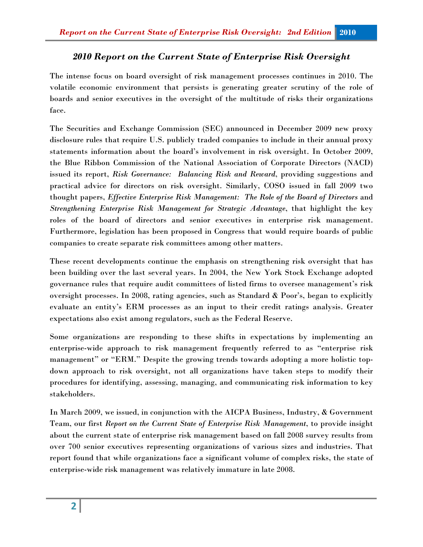# *2010 Report on the Current State of Enterprise Risk Oversight*

The intense focus on board oversight of risk management processes continues in 2010. The volatile economic environment that persists is generating greater scrutiny of the role of boards and senior executives in the oversight of the multitude of risks their organizations face.

The Securities and Exchange Commission (SEC) announced in December 2009 new proxy disclosure rules that require U.S. publicly traded companies to include in their annual proxy statements information about the board's involvement in risk oversight. In October 2009, the Blue Ribbon Commission of the National Association of Corporate Directors (NACD) issued its report, *Risk Governance: Balancing Risk and Reward*, providing suggestions and practical advice for directors on risk oversight. Similarly, COSO issued in fall 2009 two thought papers, *Effective Enterprise Risk Management: The Role of the Board of Directors* and *Strengthening Enterprise Risk Management for Strategic Advantage*, that highlight the key roles of the board of directors and senior executives in enterprise risk management. Furthermore, legislation has been proposed in Congress that would require boards of public companies to create separate risk committees among other matters.

These recent developments continue the emphasis on strengthening risk oversight that has been building over the last several years. In 2004, the New York Stock Exchange adopted governance rules that require audit committees of listed firms to oversee management's risk oversight processes. In 2008, rating agencies, such as Standard & Poor's, began to explicitly evaluate an entity's ERM processes as an input to their credit ratings analysis. Greater expectations also exist among regulators, such as the Federal Reserve.

Some organizations are responding to these shifts in expectations by implementing an enterprise-wide approach to risk management frequently referred to as "enterprise risk management" or "ERM." Despite the growing trends towards adopting a more holistic topdown approach to risk oversight, not all organizations have taken steps to modify their procedures for identifying, assessing, managing, and communicating risk information to key stakeholders.

In March 2009, we issued, in conjunction with the AICPA Business, Industry, & Government Team, our first *Report on the Current State of Enterprise Risk Management*, to provide insight about the current state of enterprise risk management based on fall 2008 survey results from over 700 senior executives representing organizations of various sizes and industries. That report found that while organizations face a significant volume of complex risks, the state of enterprise-wide risk management was relatively immature in late 2008.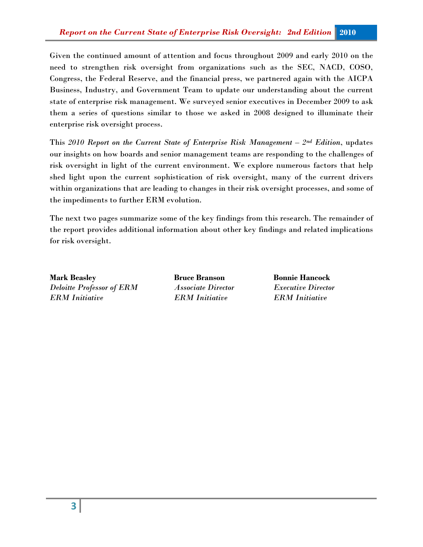Given the continued amount of attention and focus throughout 2009 and early 2010 on the need to strengthen risk oversight from organizations such as the SEC, NACD, COSO, Congress, the Federal Reserve, and the financial press, we partnered again with the AICPA Business, Industry, and Government Team to update our understanding about the current state of enterprise risk management. We surveyed senior executives in December 2009 to ask them a series of questions similar to those we asked in 2008 designed to illuminate their enterprise risk oversight process.

This *2010 Report on the Current State of Enterprise Risk Management – 2nd Edition*, updates our insights on how boards and senior management teams are responding to the challenges of risk oversight in light of the current environment. We explore numerous factors that help shed light upon the current sophistication of risk oversight, many of the current drivers within organizations that are leading to changes in their risk oversight processes, and some of the impediments to further ERM evolution.

The next two pages summarize some of the key findings from this research. The remainder of the report provides additional information about other key findings and related implications for risk oversight.

**Mark Beasley Bruce Branson Bonnie Hancock** *Deloitte Professor of ERM Associate Director Executive Director ERM Initiative ERM Initiative ERM Initiative*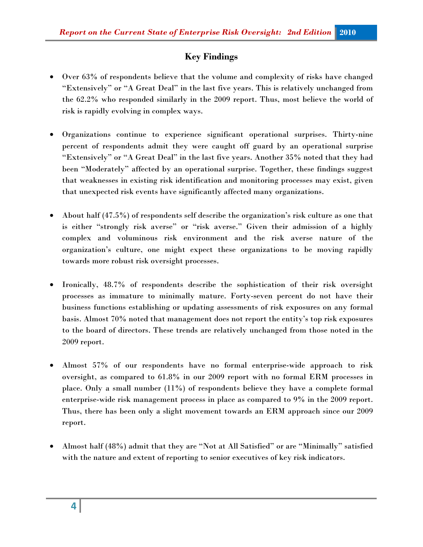# **Key Findings**

- Over 63% of respondents believe that the volume and complexity of risks have changed "Extensively" or "A Great Deal" in the last five years. This is relatively unchanged from the 62.2% who responded similarly in the 2009 report. Thus, most believe the world of risk is rapidly evolving in complex ways.
- Organizations continue to experience significant operational surprises. Thirty-nine percent of respondents admit they were caught off guard by an operational surprise "Extensively" or "A Great Deal" in the last five years. Another 35% noted that they had been "Moderately" affected by an operational surprise. Together, these findings suggest that weaknesses in existing risk identification and monitoring processes may exist, given that unexpected risk events have significantly affected many organizations.
- About half (47.5%) of respondents self describe the organization's risk culture as one that is either "strongly risk averse" or "risk averse." Given their admission of a highly complex and voluminous risk environment and the risk averse nature of the organization's culture, one might expect these organizations to be moving rapidly towards more robust risk oversight processes.
- Ironically, 48.7% of respondents describe the sophistication of their risk oversight processes as immature to minimally mature. Forty-seven percent do not have their business functions establishing or updating assessments of risk exposures on any formal basis. Almost 70% noted that management does not report the entity's top risk exposures to the board of directors. These trends are relatively unchanged from those noted in the 2009 report.
- Almost 57% of our respondents have no formal enterprise-wide approach to risk oversight, as compared to 61.8% in our 2009 report with no formal ERM processes in place. Only a small number (11%) of respondents believe they have a complete formal enterprise-wide risk management process in place as compared to 9% in the 2009 report. Thus, there has been only a slight movement towards an ERM approach since our 2009 report.
- Almost half (48%) admit that they are "Not at All Satisfied" or are "Minimally" satisfied with the nature and extent of reporting to senior executives of key risk indicators.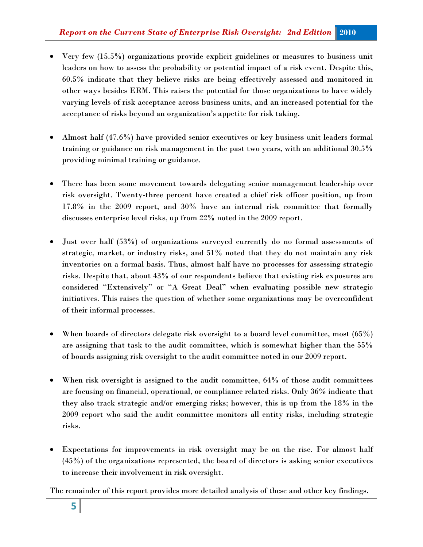- Very few (15.5%) organizations provide explicit guidelines or measures to business unit leaders on how to assess the probability or potential impact of a risk event. Despite this, 60.5% indicate that they believe risks are being effectively assessed and monitored in other ways besides ERM. This raises the potential for those organizations to have widely varying levels of risk acceptance across business units, and an increased potential for the acceptance of risks beyond an organization's appetite for risk taking.
- Almost half (47.6%) have provided senior executives or key business unit leaders formal training or guidance on risk management in the past two years, with an additional 30.5% providing minimal training or guidance.
- There has been some movement towards delegating senior management leadership over risk oversight. Twenty-three percent have created a chief risk officer position, up from 17.8% in the 2009 report, and 30% have an internal risk committee that formally discusses enterprise level risks, up from 22% noted in the 2009 report.
- Just over half (53%) of organizations surveyed currently do no formal assessments of strategic, market, or industry risks, and 51% noted that they do not maintain any risk inventories on a formal basis. Thus, almost half have no processes for assessing strategic risks. Despite that, about 43% of our respondents believe that existing risk exposures are considered "Extensively" or "A Great Deal" when evaluating possible new strategic initiatives. This raises the question of whether some organizations may be overconfident of their informal processes.
- When boards of directors delegate risk oversight to a board level committee, most (65%) are assigning that task to the audit committee, which is somewhat higher than the 55% of boards assigning risk oversight to the audit committee noted in our 2009 report.
- When risk oversight is assigned to the audit committee, 64% of those audit committees are focusing on financial, operational, or compliance related risks. Only 36% indicate that they also track strategic and/or emerging risks; however, this is up from the 18% in the 2009 report who said the audit committee monitors all entity risks, including strategic risks.
- Expectations for improvements in risk oversight may be on the rise. For almost half (45%) of the organizations represented, the board of directors is asking senior executives to increase their involvement in risk oversight.

The remainder of this report provides more detailed analysis of these and other key findings.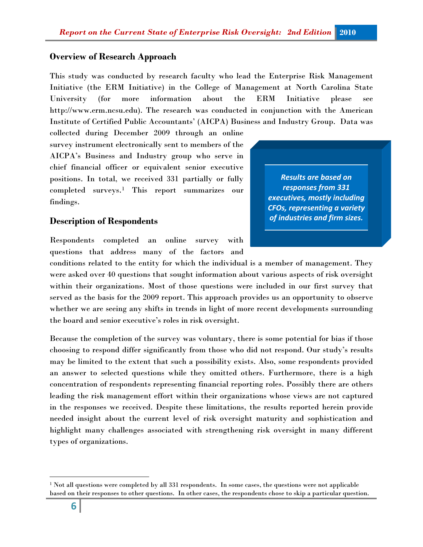#### **Overview of Research Approach**

This study was conducted by research faculty who lead the Enterprise Risk Management Initiative (the ERM Initiative) in the College of Management at North Carolina State University (for more information about the ERM Initiative please see http://www.erm.ncsu.edu). The research was conducted in conjunction with the American Institute of Certified Public Accountants' (AICPA) Business and Industry Group. Data was

collected during December 2009 through an online survey instrument electronically sent to members of the AICPA's Business and Industry group who serve in chief financial officer or equivalent senior executive positions. In total, we received 331 partially or fully completed surveys.[1](#page-6-0) This report summarizes our findings.

#### **Description of Respondents**

Respondents completed an online survey with questions that address many of the factors and

conditions related to the entity for which the individual is a member of management. They were asked over 40 questions that sought information about various aspects of risk oversight within their organizations. Most of those questions were included in our first survey that served as the basis for the 2009 report. This approach provides us an opportunity to observe whether we are seeing any shifts in trends in light of more recent developments surrounding the board and senior executive's roles in risk oversight.

Because the completion of the survey was voluntary, there is some potential for bias if those choosing to respond differ significantly from those who did not respond. Our study's results may be limited to the extent that such a possibility exists. Also, some respondents provided an answer to selected questions while they omitted others. Furthermore, there is a high concentration of respondents representing financial reporting roles. Possibly there are others leading the risk management effort within their organizations whose views are not captured in the responses we received. Despite these limitations, the results reported herein provide needed insight about the current level of risk oversight maturity and sophistication and highlight many challenges associated with strengthening risk oversight in many different types of organizations.



 $\overline{\phantom{0}}$ 

<span id="page-6-0"></span> $1$  Not all questions were completed by all 331 respondents. In some cases, the questions were not applicable based on their responses to other questions. In other cases, the respondents chose to skip a particular question.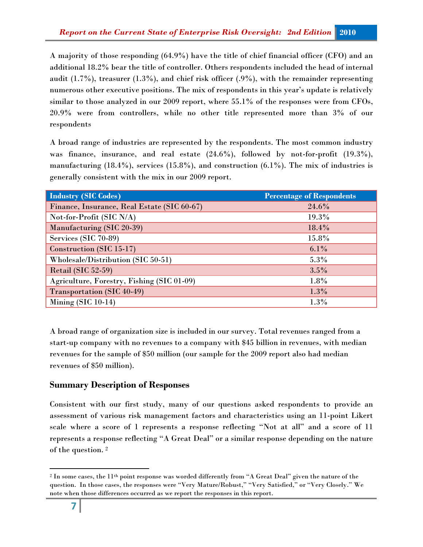A majority of those responding (64.9%) have the title of chief financial officer (CFO) and an additional 18.2% bear the title of controller. Others respondents included the head of internal audit  $(1.7\%)$ , treasurer  $(1.3\%)$ , and chief risk officer  $(0.9\%)$ , with the remainder representing numerous other executive positions. The mix of respondents in this year's update is relatively similar to those analyzed in our 2009 report, where 55.1% of the responses were from CFOs, 20.9% were from controllers, while no other title represented more than 3% of our respondents

A broad range of industries are represented by the respondents. The most common industry was finance, insurance, and real estate (24.6%), followed by not-for-profit (19.3%), manufacturing  $(18.4\%)$ , services  $(15.8\%)$ , and construction  $(6.1\%)$ . The mix of industries is generally consistent with the mix in our 2009 report.

| <b>Industry (SIC Codes)</b>                 | <b>Percentage of Respondents</b> |
|---------------------------------------------|----------------------------------|
| Finance, Insurance, Real Estate (SIC 60-67) | 24.6%                            |
| Not-for-Profit (SIC N/A)                    | 19.3%                            |
| Manufacturing (SIC 20-39)                   | 18.4%                            |
| Services (SIC 70-89)                        | 15.8%                            |
| Construction (SIC 15-17)                    | $6.1\%$                          |
| Wholesale/Distribution (SIC 50-51)          | $5.3\%$                          |
| Retail (SIC 52-59)                          | 3.5%                             |
| Agriculture, Forestry, Fishing (SIC 01-09)  | $1.8\%$                          |
| Transportation (SIC 40-49)                  | $1.3\%$                          |
| Mining $(SIC 10-14)$                        | 1.3%                             |

A broad range of organization size is included in our survey. Total revenues ranged from a start-up company with no revenues to a company with \$45 billion in revenues, with median revenues for the sample of \$50 million (our sample for the 2009 report also had median revenues of \$50 million).

# **Summary Description of Responses**

Consistent with our first study, many of our questions asked respondents to provide an assessment of various risk management factors and characteristics using an 11-point Likert scale where a score of 1 represents a response reflecting "Not at all" and a score of 11 represents a response reflecting "A Great Deal" or a similar response depending on the nature of the question. [2](#page-7-0)

 $\overline{\phantom{0}}$ 

<span id="page-7-0"></span><sup>&</sup>lt;sup>2</sup> In some cases, the 11<sup>th</sup> point response was worded differently from "A Great Deal" given the nature of the question. In those cases, the responses were "Very Mature/Robust," "Very Satisfied," or "Very Closely." We note when those differences occurred as we report the responses in this report.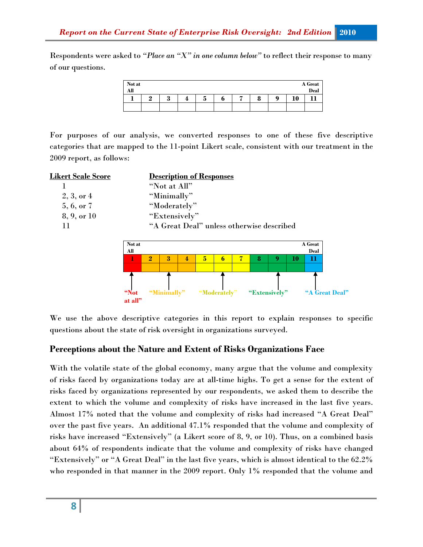Respondents were asked to *"Place an "X" in one column below"* to reflect their response to many of our questions.

| Not at<br>All |   |   |   |   |   |        |   |          | A Great<br>Deal |
|---------------|---|---|---|---|---|--------|---|----------|-----------------|
|               | റ | ഩ | 4 | J | U | 0<br>0 | 0 | 10<br>πv |                 |
|               |   |   |   |   |   |        |   |          |                 |

For purposes of our analysis, we converted responses to one of these five descriptive categories that are mapped to the 11-point Likert scale, consistent with our treatment in the 2009 report, as follows:

| <u> Likert Scale Score</u> | <b>Description of Responses</b>           |
|----------------------------|-------------------------------------------|
|                            | "Not at All"                              |
| $2, 3,$ or 4               | "Minimally"                               |
| 5, 6, or 7                 | "Moderately"                              |
| $8, 9, \text{ or } 10$     | "Extensively"                             |
| 11                         | "A Great Deal" unless otherwise described |
|                            |                                           |



We use the above descriptive categories in this report to explain responses to specific questions about the state of risk oversight in organizations surveyed.

#### **Perceptions about the Nature and Extent of Risks Organizations Face**

With the volatile state of the global economy, many argue that the volume and complexity of risks faced by organizations today are at all-time highs. To get a sense for the extent of risks faced by organizations represented by our respondents, we asked them to describe the extent to which the volume and complexity of risks have increased in the last five years. Almost 17% noted that the volume and complexity of risks had increased "A Great Deal" over the past five years. An additional 47.1% responded that the volume and complexity of risks have increased "Extensively" (a Likert score of 8, 9, or 10). Thus, on a combined basis about 64% of respondents indicate that the volume and complexity of risks have changed "Extensively" or "A Great Deal" in the last five years, which is almost identical to the 62.2% who responded in that manner in the 2009 report. Only 1% responded that the volume and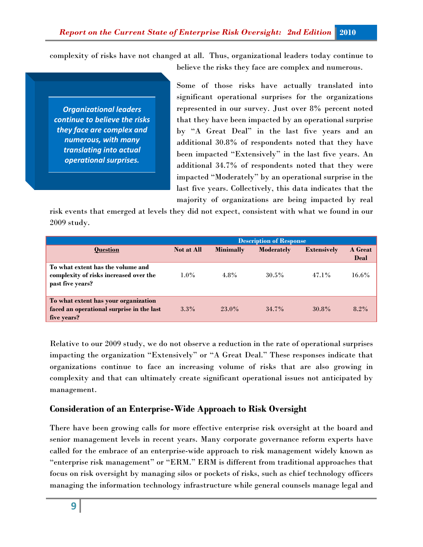complexity of risks have not changed at all. Thus, organizational leaders today continue to

*Organizational leaders continue to believe the risks they face are complex and numerous, with many translating into actual operational surprises.*

believe the risks they face are complex and numerous.

Some of those risks have actually translated into significant operational surprises for the organizations represented in our survey. Just over 8% percent noted that they have been impacted by an operational surprise by "A Great Deal" in the last five years and an additional 30.8% of respondents noted that they have been impacted "Extensively" in the last five years. An additional 34.7% of respondents noted that they were impacted "Moderately" by an operational surprise in the last five years. Collectively, this data indicates that the majority of organizations are being impacted by real

risk events that emerged at levels they did not expect, consistent with what we found in our 2009 study.

|                                                                                                  | <b>Description of Response</b> |                  |                   |                    |                        |
|--------------------------------------------------------------------------------------------------|--------------------------------|------------------|-------------------|--------------------|------------------------|
| <b>Question</b>                                                                                  | <b>Not at All</b>              | <b>Minimally</b> | <b>Moderately</b> | <b>Extensively</b> | A Great<br><b>Deal</b> |
| To what extent has the volume and<br>complexity of risks increased over the<br>past five years?  | $1.0\%$                        | $4.8\%$          | $30.5\%$          | $47.1\%$           | $16.6\%$               |
| To what extent has your organization<br>faced an operational surprise in the last<br>five years? | $3.3\%$                        | 23.0%            | 34.7%             | 30.8%              | $8.2\%$                |

Relative to our 2009 study, we do not observe a reduction in the rate of operational surprises impacting the organization "Extensively" or "A Great Deal." These responses indicate that organizations continue to face an increasing volume of risks that are also growing in complexity and that can ultimately create significant operational issues not anticipated by management.

#### **Consideration of an Enterprise-Wide Approach to Risk Oversight**

There have been growing calls for more effective enterprise risk oversight at the board and senior management levels in recent years. Many corporate governance reform experts have called for the embrace of an enterprise-wide approach to risk management widely known as "enterprise risk management" or "ERM." ERM is different from traditional approaches that focus on risk oversight by managing silos or pockets of risks, such as chief technology officers managing the information technology infrastructure while general counsels manage legal and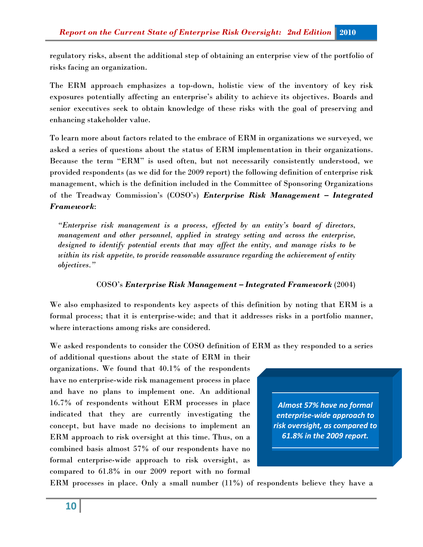regulatory risks, absent the additional step of obtaining an enterprise view of the portfolio of risks facing an organization.

The ERM approach emphasizes a top-down, holistic view of the inventory of key risk exposures potentially affecting an enterprise's ability to achieve its objectives. Boards and senior executives seek to obtain knowledge of these risks with the goal of preserving and enhancing stakeholder value.

To learn more about factors related to the embrace of ERM in organizations we surveyed, we asked a series of questions about the status of ERM implementation in their organizations. Because the term "ERM" is used often, but not necessarily consistently understood, we provided respondents (as we did for the 2009 report) the following definition of enterprise risk management, which is the definition included in the Committee of Sponsoring Organizations of the Treadway Commission's (COSO's) *Enterprise Risk Management – Integrated Framework*:

*"Enterprise risk management is a process, effected by an entity's board of directors, management and other personnel, applied in strategy setting and across the enterprise, designed to identify potential events that may affect the entity, and manage risks to be within its risk appetite, to provide reasonable assurance regarding the achievement of entity objectives."*

#### COSO's *Enterprise Risk Management – Integrated Framework* (2004)

We also emphasized to respondents key aspects of this definition by noting that ERM is a formal process; that it is enterprise-wide; and that it addresses risks in a portfolio manner, where interactions among risks are considered.

We asked respondents to consider the COSO definition of ERM as they responded to a series

of additional questions about the state of ERM in their organizations. We found that 40.1% of the respondents have no enterprise-wide risk management process in place and have no plans to implement one. An additional 16.7% of respondents without ERM processes in place indicated that they are currently investigating the concept, but have made no decisions to implement an ERM approach to risk oversight at this time. Thus, on a combined basis almost 57% of our respondents have no formal enterprise-wide approach to risk oversight, as compared to 61.8% in our 2009 report with no formal

*Almost 57% have no formal enterprise-wide approach to risk oversight, as compared to 61.8% in the 2009 report.*

ERM processes in place. Only a small number (11%) of respondents believe they have a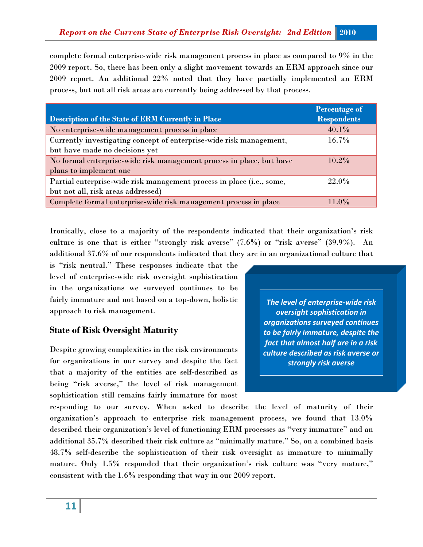complete formal enterprise-wide risk management process in place as compared to 9% in the 2009 report. So, there has been only a slight movement towards an ERM approach since our 2009 report. An additional 22% noted that they have partially implemented an ERM process, but not all risk areas are currently being addressed by that process.

|                                                                       | <b>Percentage of</b> |
|-----------------------------------------------------------------------|----------------------|
| <b>Description of the State of ERM Currently in Place</b>             | <b>Respondents</b>   |
| No enterprise-wide management process in place                        | $40.1\%$             |
| Currently investigating concept of enterprise-wide risk management,   | $16.7\%$             |
| but have made no decisions yet                                        |                      |
| No formal enterprise-wide risk management process in place, but have  | $10.2\%$             |
| plans to implement one                                                |                      |
| Partial enterprise-wide risk management process in place (i.e., some, | 22.0%                |
| but not all, risk areas addressed)                                    |                      |
| Complete formal enterprise-wide risk management process in place      | $11.0\%$             |

Ironically, close to a majority of the respondents indicated that their organization's risk culture is one that is either "strongly risk averse" (7.6%) or "risk averse" (39.9%). An additional 37.6% of our respondents indicated that they are in an organizational culture that

is "risk neutral." These responses indicate that the level of enterprise-wide risk oversight sophistication in the organizations we surveyed continues to be fairly immature and not based on a top-down, holistic approach to risk management.

## **State of Risk Oversight Maturity**

Despite growing complexities in the risk environments for organizations in our survey and despite the fact that a majority of the entities are self-described as being "risk averse," the level of risk management sophistication still remains fairly immature for most

*The level of enterprise-wide risk oversight sophistication in organizations surveyed continues to be fairly immature, despite the fact that almost half are in a risk culture described as risk averse or strongly risk averse* 

responding to our survey. When asked to describe the level of maturity of their organization's approach to enterprise risk management process, we found that 13.0% described their organization's level of functioning ERM processes as "very immature" and an additional 35.7% described their risk culture as "minimally mature." So, on a combined basis 48.7% self-describe the sophistication of their risk oversight as immature to minimally mature. Only 1.5% responded that their organization's risk culture was "very mature," consistent with the 1.6% responding that way in our 2009 report.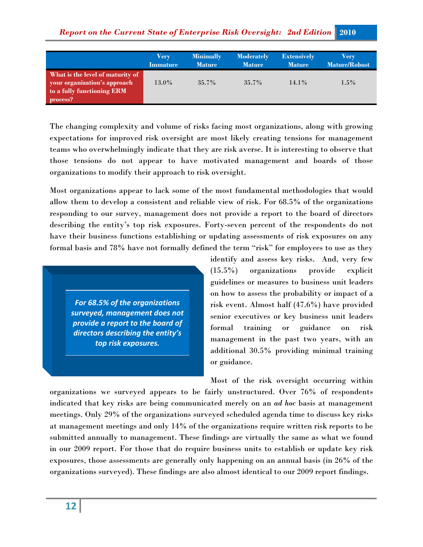|                                                                                                            | Very            | <b>Minimally</b> | <b>Moderately</b> | <b>Extensively</b> | Verv                 |
|------------------------------------------------------------------------------------------------------------|-----------------|------------------|-------------------|--------------------|----------------------|
|                                                                                                            | <b>Immature</b> | <b>Mature</b>    | <b>Mature</b>     | <b>Mature</b>      | <b>Mature/Robust</b> |
| What is the level of maturity of<br>your organization's approach<br>to a fully functioning ERM<br>process? | $13.0\%$        | $35.7\%$         | $35.7\%$          | $14.1\%$           | $1.5\%$              |

The changing complexity and volume of risks facing most organizations, along with growing expectations for improved risk oversight are most likely creating tensions for management teams who overwhelmingly indicate that they are risk averse. It is interesting to observe that those tensions do not appear to have motivated management and boards of those organizations to modify their approach to risk oversight.

Most organizations appear to lack some of the most fundamental methodologies that would allow them to develop a consistent and reliable view of risk. For 68.5% of the organizations responding to our survey, management does not provide a report to the board of directors describing the entity's top risk exposures. Forty-seven percent of the respondents do not have their business functions establishing or updating assessments of risk exposures on any formal basis and 78% have not formally defined the term "risk" for employees to use as they

*For 68.5% of the organizations surveyed, management does not provide a report to the board of directors describing the entity's top risk exposures.* 

identify and assess key risks. And, very few (15.5%) organizations provide explicit guidelines or measures to business unit leaders on how to assess the probability or impact of a risk event. Almost half (47.6%) have provided senior executives or key business unit leaders formal training or guidance on risk management in the past two years, with an additional 30.5% providing minimal training or guidance.

Most of the risk oversight occurring within

organizations we surveyed appears to be fairly unstructured. Over 76% of respondents indicated that key risks are being communicated merely on an *ad hoc* basis at management meetings. Only 29% of the organizations surveyed scheduled agenda time to discuss key risks at management meetings and only 14% of the organizations require written risk reports to be submitted annually to management. These findings are virtually the same as what we found in our 2009 report. For those that do require business units to establish or update key risk exposures, those assessments are generally only happening on an annual basis (in 26% of the organizations surveyed). These findings are also almost identical to our 2009 report findings.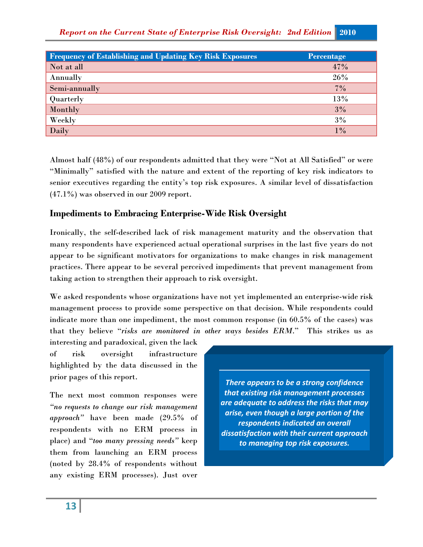| <b>Frequency of Establishing and Updating Key Risk Exposures</b> | <b>Percentage</b> |
|------------------------------------------------------------------|-------------------|
| Not at all                                                       | 47%               |
| Annually                                                         | 26%               |
| Semi-annually                                                    | $7\%$             |
| Quarterly                                                        | 13%               |
| Monthly                                                          | 3%                |
| Weekly                                                           | 3%                |
| Daily                                                            | $1\%$             |

Almost half (48%) of our respondents admitted that they were "Not at All Satisfied" or were "Minimally" satisfied with the nature and extent of the reporting of key risk indicators to senior executives regarding the entity's top risk exposures. A similar level of dissatisfaction (47.1%) was observed in our 2009 report.

# **Impediments to Embracing Enterprise-Wide Risk Oversight**

Ironically, the self-described lack of risk management maturity and the observation that many respondents have experienced actual operational surprises in the last five years do not appear to be significant motivators for organizations to make changes in risk management practices. There appear to be several perceived impediments that prevent management from taking action to strengthen their approach to risk oversight.

We asked respondents whose organizations have not yet implemented an enterprise-wide risk management process to provide some perspective on that decision. While respondents could indicate more than one impediment, the most common response (in 60.5% of the cases) was that they believe "*risks are monitored in other ways besides ERM*." This strikes us as

interesting and paradoxical, given the lack of risk oversight infrastructure highlighted by the data discussed in the prior pages of this report.

The next most common responses were *"no requests to change our risk management approach"* have been made (29.5% of respondents with no ERM process in place) and "*too many pressing needs"* keep them from launching an ERM process (noted by 28.4% of respondents without any existing ERM processes). Just over

*There appears to be a strong confidence that existing risk management processes are adequate to address the risks that may arise, even though a large portion of the respondents indicated an overall dissatisfaction with their current approach to managing top risk exposures.*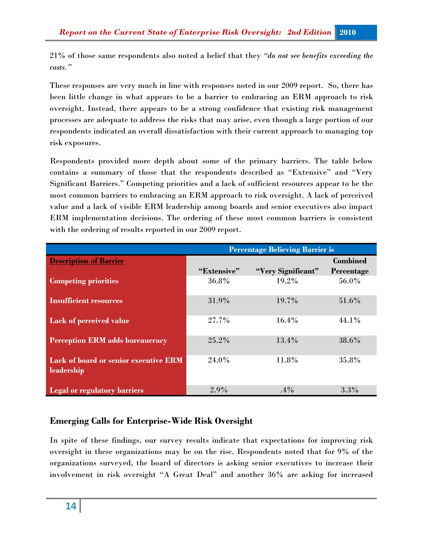21% of those same respondents also noted a belief that they *"do not see benefits exceeding the costs."*

These responses are very much in line with responses noted in our 2009 report. So, there has been little change in what appears to be a barrier to embracing an ERM approach to risk oversight. Instead, there appears to be a strong confidence that existing risk management processes are adequate to address the risks that may arise, even though a large portion of our respondents indicated an overall dissatisfaction with their current approach to managing top risk exposures.

Respondents provided more depth about some of the primary barriers. The table below contains a summary of those that the respondents described as "Extensive" and "Very Significant Barriers." Competing priorities and a lack of sufficient resources appear to be the most common barriers to embracing an ERM approach to risk oversight. A lack of perceived value and a lack of visible ERM leadership among boards and senior executives also impact ERM implementation decisions. The ordering of these most common barriers is consistent with the ordering of results reported in our 2009 report.

|                                              | <b>Percentage Believing Barrier is</b> |                    |                 |  |  |
|----------------------------------------------|----------------------------------------|--------------------|-----------------|--|--|
| <b>Description of Barrier</b>                |                                        |                    | <b>Combined</b> |  |  |
|                                              | "Extensive"                            | "Very Significant" | Percentage      |  |  |
| <b>Competing priorities</b>                  | 36.8%                                  | $19.2\%$           | 56.0%           |  |  |
|                                              |                                        |                    |                 |  |  |
| <b>Insufficient resources</b>                | 31.9%                                  | 19.7%              | 51.6%           |  |  |
| Lack of perceived value                      | 27.7%                                  | 16.4%              | 44.1%           |  |  |
|                                              |                                        |                    |                 |  |  |
| <b>Perception ERM adds bureaucracy</b>       | 25.2%                                  | 13.4%              | 38.6%           |  |  |
|                                              |                                        |                    |                 |  |  |
| <b>Lack of board or senior executive ERM</b> | 24.0%                                  | 11.8%              | 35.8%           |  |  |
| leadership                                   |                                        |                    |                 |  |  |
|                                              |                                        |                    |                 |  |  |
| <b>Legal or regulatory barriers</b>          | 2.9%                                   | $.4\%$             | 3.3%            |  |  |

# **Emerging Calls for Enterprise-Wide Risk Oversight**

In spite of these findings, our survey results indicate that expectations for improving risk oversight in these organizations may be on the rise. Respondents noted that for 9% of the organizations surveyed, the board of directors is asking senior executives to increase their involvement in risk oversight "A Great Deal" and another 36% are asking for increased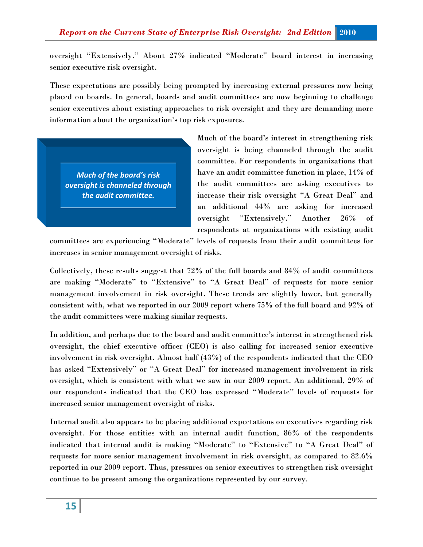oversight "Extensively." About 27% indicated "Moderate" board interest in increasing senior executive risk oversight.

These expectations are possibly being prompted by increasing external pressures now being placed on boards. In general, boards and audit committees are now beginning to challenge senior executives about existing approaches to risk oversight and they are demanding more information about the organization's top risk exposures.

*Much of the board's risk oversight is channeled through the audit committee.* 

Much of the board's interest in strengthening risk oversight is being channeled through the audit committee. For respondents in organizations that have an audit committee function in place, 14% of the audit committees are asking executives to increase their risk oversight "A Great Deal" and an additional 44% are asking for increased oversight "Extensively." Another 26% of respondents at organizations with existing audit

committees are experiencing "Moderate" levels of requests from their audit committees for increases in senior management oversight of risks.

Collectively, these results suggest that 72% of the full boards and 84% of audit committees are making "Moderate" to "Extensive" to "A Great Deal" of requests for more senior management involvement in risk oversight. These trends are slightly lower, but generally consistent with, what we reported in our 2009 report where 75% of the full board and 92% of the audit committees were making similar requests.

In addition, and perhaps due to the board and audit committee's interest in strengthened risk oversight, the chief executive officer (CEO) is also calling for increased senior executive involvement in risk oversight. Almost half (43%) of the respondents indicated that the CEO has asked "Extensively" or "A Great Deal" for increased management involvement in risk oversight, which is consistent with what we saw in our 2009 report. An additional, 29% of our respondents indicated that the CEO has expressed "Moderate" levels of requests for increased senior management oversight of risks.

Internal audit also appears to be placing additional expectations on executives regarding risk oversight. For those entities with an internal audit function, 86% of the respondents indicated that internal audit is making "Moderate" to "Extensive" to "A Great Deal" of requests for more senior management involvement in risk oversight, as compared to 82.6% reported in our 2009 report. Thus, pressures on senior executives to strengthen risk oversight continue to be present among the organizations represented by our survey.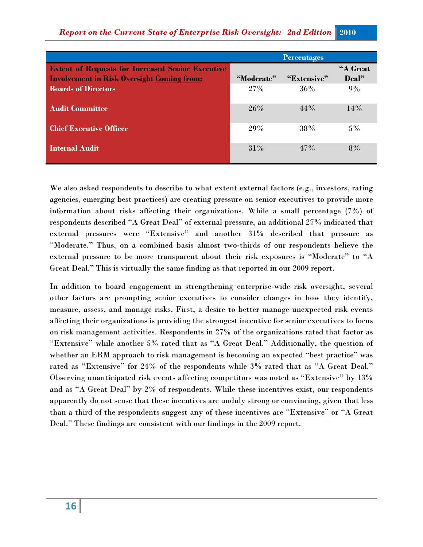|                                                                                                               |            | <b>Percentages</b> |                   |
|---------------------------------------------------------------------------------------------------------------|------------|--------------------|-------------------|
| <b>Extent of Requests for Increased Senior Executive</b><br><b>Involvement in Risk Oversight Coming from:</b> | "Moderate" | "Extensive"        | "A Great<br>Deal" |
| <b>Boards of Directors</b>                                                                                    | 27%        | $36\%$             | 9%                |
| <b>Audit Committee</b>                                                                                        | 26%        | $44\%$             | 14%               |
| <b>Chief Executive Officer</b>                                                                                | 29%        | 38%                | $5\%$             |
| <b>Internal Audit</b>                                                                                         | 31%        | $47\%$             | 8%                |

We also asked respondents to describe to what extent external factors (e.g., investors, rating agencies, emerging best practices) are creating pressure on senior executives to provide more information about risks affecting their organizations. While a small percentage (7%) of respondents described "A Great Deal" of external pressure, an additional 27% indicated that external pressures were "Extensive" and another 31% described that pressure as "Moderate." Thus, on a combined basis almost two-thirds of our respondents believe the external pressure to be more transparent about their risk exposures is "Moderate" to "A Great Deal." This is virtually the same finding as that reported in our 2009 report.

In addition to board engagement in strengthening enterprise-wide risk oversight, several other factors are prompting senior executives to consider changes in how they identify, measure, assess, and manage risks. First, a desire to better manage unexpected risk events affecting their organizations is providing the strongest incentive for senior executives to focus on risk management activities. Respondents in 27% of the organizations rated that factor as "Extensive" while another 5% rated that as "A Great Deal." Additionally, the question of whether an ERM approach to risk management is becoming an expected "best practice" was rated as "Extensive" for 24% of the respondents while 3% rated that as "A Great Deal." Observing unanticipated risk events affecting competitors was noted as "Extensive" by 13% and as "A Great Deal" by 2% of respondents. While these incentives exist, our respondents apparently do not sense that these incentives are unduly strong or convincing, given that less than a third of the respondents suggest any of these incentives are "Extensive" or "A Great Deal." These findings are consistent with our findings in the 2009 report.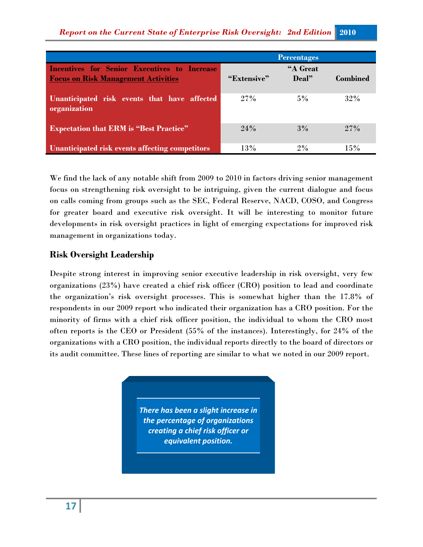|                                                                                                   |             | <b>Percentages</b> |                 |
|---------------------------------------------------------------------------------------------------|-------------|--------------------|-----------------|
| <b>Incentives for Senior Executives to Increase</b><br><b>Focus on Risk Management Activities</b> | "Extensive" | "A Great<br>Deal"  | <b>Combined</b> |
| Unanticipated risk events that have affected<br>organization                                      | 27%         | $5\%$              | 32%             |
| <b>Expectation that ERM is "Best Practice"</b>                                                    | 24%         | 3%                 | $27\%$          |
| Unanticipated risk events affecting competitors                                                   | 13%         | $2\%$              | 15%             |

We find the lack of any notable shift from 2009 to 2010 in factors driving senior management focus on strengthening risk oversight to be intriguing, given the current dialogue and focus on calls coming from groups such as the SEC, Federal Reserve, NACD, COSO, and Congress for greater board and executive risk oversight. It will be interesting to monitor future developments in risk oversight practices in light of emerging expectations for improved risk management in organizations today.

## **Risk Oversight Leadership**

Despite strong interest in improving senior executive leadership in risk oversight, very few organizations (23%) have created a chief risk officer (CRO) position to lead and coordinate the organization's risk oversight processes. This is somewhat higher than the 17.8% of respondents in our 2009 report who indicated their organization has a CRO position. For the minority of firms with a chief risk officer position, the individual to whom the CRO most often reports is the CEO or President (55% of the instances). Interestingly, for 24% of the organizations with a CRO position, the individual reports directly to the board of directors or its audit committee. These lines of reporting are similar to what we noted in our 2009 report.

> *There has been a slight increase in the percentage of organizations creating a chief risk officer or equivalent position.*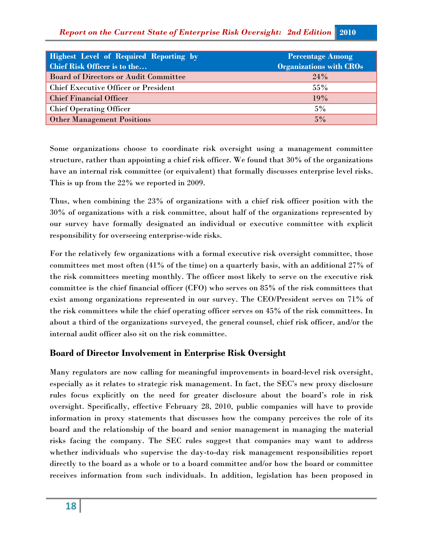| <b>Highest Level of Required Reporting by</b><br>Chief Risk Officer is to the | <b>Percentage Among</b><br><b>Organizations with CROs</b> |
|-------------------------------------------------------------------------------|-----------------------------------------------------------|
| <b>Board of Directors or Audit Committee</b>                                  | 24%                                                       |
| <b>Chief Executive Officer or President</b>                                   | $55\%$                                                    |
| <b>Chief Financial Officer</b>                                                | 19%                                                       |
| <b>Chief Operating Officer</b>                                                | $5\%$                                                     |
| <b>Other Management Positions</b>                                             | 5%                                                        |

Some organizations choose to coordinate risk oversight using a management committee structure, rather than appointing a chief risk officer. We found that 30% of the organizations have an internal risk committee (or equivalent) that formally discusses enterprise level risks. This is up from the 22% we reported in 2009.

Thus, when combining the 23% of organizations with a chief risk officer position with the 30% of organizations with a risk committee, about half of the organizations represented by our survey have formally designated an individual or executive committee with explicit responsibility for overseeing enterprise-wide risks.

For the relatively few organizations with a formal executive risk oversight committee, those committees met most often (41% of the time) on a quarterly basis, with an additional 27% of the risk committees meeting monthly. The officer most likely to serve on the executive risk committee is the chief financial officer (CFO) who serves on 85% of the risk committees that exist among organizations represented in our survey. The CEO/President serves on 71% of the risk committees while the chief operating officer serves on 45% of the risk committees. In about a third of the organizations surveyed, the general counsel, chief risk officer, and/or the internal audit officer also sit on the risk committee.

# **Board of Director Involvement in Enterprise Risk Oversight**

Many regulators are now calling for meaningful improvements in board-level risk oversight, especially as it relates to strategic risk management. In fact, the SEC's new proxy disclosure rules focus explicitly on the need for greater disclosure about the board's role in risk oversight. Specifically, effective February 28, 2010, public companies will have to provide information in proxy statements that discusses how the company perceives the role of its board and the relationship of the board and senior management in managing the material risks facing the company. The SEC rules suggest that companies may want to address whether individuals who supervise the day-to-day risk management responsibilities report directly to the board as a whole or to a board committee and/or how the board or committee receives information from such individuals. In addition, legislation has been proposed in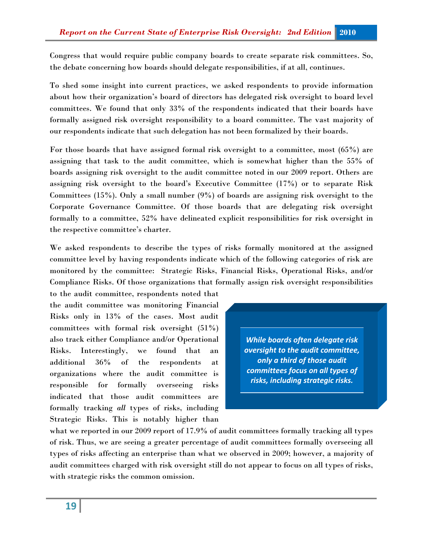Congress that would require public company boards to create separate risk committees. So, the debate concerning how boards should delegate responsibilities, if at all, continues.

To shed some insight into current practices, we asked respondents to provide information about how their organization's board of directors has delegated risk oversight to board level committees. We found that only 33% of the respondents indicated that their boards have formally assigned risk oversight responsibility to a board committee. The vast majority of our respondents indicate that such delegation has not been formalized by their boards.

For those boards that have assigned formal risk oversight to a committee, most (65%) are assigning that task to the audit committee, which is somewhat higher than the 55% of boards assigning risk oversight to the audit committee noted in our 2009 report. Others are assigning risk oversight to the board's Executive Committee (17%) or to separate Risk Committees (15%). Only a small number (9%) of boards are assigning risk oversight to the Corporate Governance Committee. Of those boards that are delegating risk oversight formally to a committee, 52% have delineated explicit responsibilities for risk oversight in the respective committee's charter.

We asked respondents to describe the types of risks formally monitored at the assigned committee level by having respondents indicate which of the following categories of risk are monitored by the committee: Strategic Risks, Financial Risks, Operational Risks, and/or Compliance Risks. Of those organizations that formally assign risk oversight responsibilities

to the audit committee, respondents noted that the audit committee was monitoring Financial Risks only in 13% of the cases. Most audit committees with formal risk oversight (51%) also track either Compliance and/or Operational Risks. Interestingly, we found that an additional 36% of the respondents at organizations where the audit committee is responsible for formally overseeing risks indicated that those audit committees are formally tracking *all* types of risks, including Strategic Risks. This is notably higher than

*While boards often delegate risk oversight to the audit committee, only a third of those audit committees focus on all types of risks, including strategic risks.* 

what we reported in our 2009 report of 17.9% of audit committees formally tracking all types of risk. Thus, we are seeing a greater percentage of audit committees formally overseeing all types of risks affecting an enterprise than what we observed in 2009; however, a majority of audit committees charged with risk oversight still do not appear to focus on all types of risks, with strategic risks the common omission.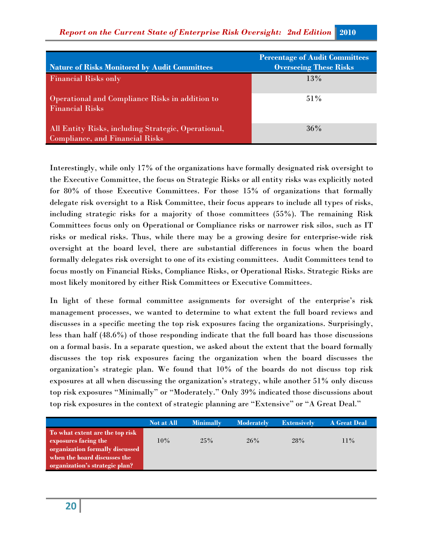| <b>Nature of Risks Monitored by Audit Committees</b>                                          | <b>Percentage of Audit Committees</b><br><b>Overseeing These Risks</b> |
|-----------------------------------------------------------------------------------------------|------------------------------------------------------------------------|
| <b>Financial Risks only</b>                                                                   | 13%                                                                    |
| Operational and Compliance Risks in addition to<br><b>Financial Risks</b>                     | $51\%$                                                                 |
| All Entity Risks, including Strategic, Operational,<br><b>Compliance, and Financial Risks</b> | $36\%$                                                                 |

Interestingly, while only 17% of the organizations have formally designated risk oversight to the Executive Committee, the focus on Strategic Risks or all entity risks was explicitly noted for 80% of those Executive Committees. For those 15% of organizations that formally delegate risk oversight to a Risk Committee, their focus appears to include all types of risks, including strategic risks for a majority of those committees (55%). The remaining Risk Committees focus only on Operational or Compliance risks or narrower risk silos, such as IT risks or medical risks. Thus, while there may be a growing desire for enterprise-wide risk oversight at the board level, there are substantial differences in focus when the board formally delegates risk oversight to one of its existing committees. Audit Committees tend to focus mostly on Financial Risks, Compliance Risks, or Operational Risks. Strategic Risks are most likely monitored by either Risk Committees or Executive Committees.

In light of these formal committee assignments for oversight of the enterprise's risk management processes, we wanted to determine to what extent the full board reviews and discusses in a specific meeting the top risk exposures facing the organizations. Surprisingly, less than half (48.6%) of those responding indicate that the full board has those discussions on a formal basis. In a separate question, we asked about the extent that the board formally discusses the top risk exposures facing the organization when the board discusses the organization's strategic plan. We found that 10% of the boards do not discuss top risk exposures at all when discussing the organization's strategy, while another 51% only discuss top risk exposures "Minimally" or "Moderately." Only 39% indicated those discussions about top risk exposures in the context of strategic planning are "Extensive" or "A Great Deal."

|                                 | <b>Not at All</b> | <b>Minimally</b> | <b>Moderately</b> | <b>Extensively</b> | <b>A Great Deal</b> |
|---------------------------------|-------------------|------------------|-------------------|--------------------|---------------------|
| To what extent are the top risk |                   |                  |                   |                    |                     |
| exposures facing the            | 10%               | 25%              | 26%               | 28%                | $11\%$              |
| organization formally discussed |                   |                  |                   |                    |                     |
| when the board discusses the    |                   |                  |                   |                    |                     |
| organization's strategic plan?  |                   |                  |                   |                    |                     |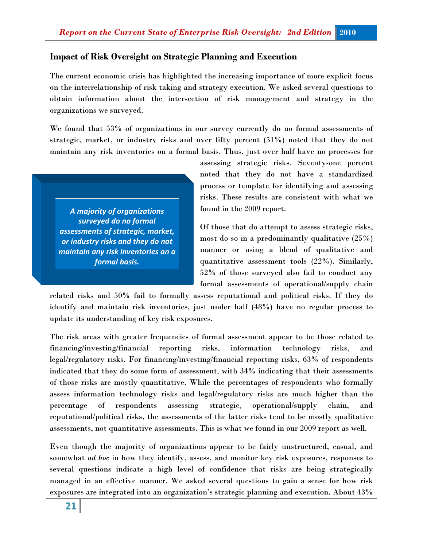## **Impact of Risk Oversight on Strategic Planning and Execution**

The current economic crisis has highlighted the increasing importance of more explicit focus on the interrelationship of risk taking and strategy execution. We asked several questions to obtain information about the intersection of risk management and strategy in the organizations we surveyed.

We found that 53% of organizations in our survey currently do no formal assessments of strategic, market, or industry risks and over fifty percent (51%) noted that they do not maintain any risk inventories on a formal basis. Thus, just over half have no processes for

*A majority of organizations surveyed do no formal assessments of strategic, market, or industry risks and they do not maintain any risk inventories on a formal basis.* 

assessing strategic risks. Seventy-one percent noted that they do not have a standardized process or template for identifying and assessing risks. These results are consistent with what we found in the 2009 report.

Of those that do attempt to assess strategic risks, most do so in a predominantly qualitative (25%) manner or using a blend of qualitative and quantitative assessment tools (22%). Similarly, 52% of those surveyed also fail to conduct any formal assessments of operational/supply chain

related risks and 50% fail to formally assess reputational and political risks. If they do identify and maintain risk inventories, just under half (48%) have no regular process to update its understanding of key risk exposures.

The risk areas with greater frequencies of formal assessment appear to be those related to financing/investing/financial reporting risks, information technology risks, and legal/regulatory risks. For financing/investing/financial reporting risks, 63% of respondents indicated that they do some form of assessment, with 34% indicating that their assessments of those risks are mostly quantitative. While the percentages of respondents who formally assess information technology risks and legal/regulatory risks are much higher than the percentage of respondents assessing strategic, operational/supply chain, and reputational/political risks, the assessments of the latter risks tend to be mostly qualitative assessments, not quantitative assessments. This is what we found in our 2009 report as well.

Even though the majority of organizations appear to be fairly unstructured, casual, and somewhat *ad hoc* in how they identify, assess, and monitor key risk exposures, responses to several questions indicate a high level of confidence that risks are being strategically managed in an effective manner. We asked several questions to gain a sense for how risk exposures are integrated into an organization's strategic planning and execution. About 43%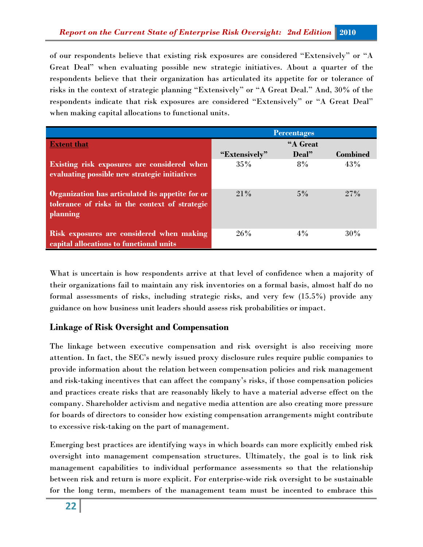of our respondents believe that existing risk exposures are considered "Extensively" or "A Great Deal" when evaluating possible new strategic initiatives. About a quarter of the respondents believe that their organization has articulated its appetite for or tolerance of risks in the context of strategic planning "Extensively" or "A Great Deal." And, 30% of the respondents indicate that risk exposures are considered "Extensively" or "A Great Deal" when making capital allocations to functional units.

|                                                                                                                | <b>Percentages</b> |       |                 |  |
|----------------------------------------------------------------------------------------------------------------|--------------------|-------|-----------------|--|
| <b>Extent that</b>                                                                                             | "A Great           |       |                 |  |
|                                                                                                                | "Extensively"      | Deal" | <b>Combined</b> |  |
| Existing risk exposures are considered when<br>evaluating possible new strategic initiatives                   | 35%                | 8%    | 43%             |  |
| Organization has articulated its appetite for or<br>tolerance of risks in the context of strategic<br>planning | 21%                | $5\%$ | 27%             |  |
| Risk exposures are considered when making<br>capital allocations to functional units                           | 26%                | $4\%$ | 30%             |  |

What is uncertain is how respondents arrive at that level of confidence when a majority of their organizations fail to maintain any risk inventories on a formal basis, almost half do no formal assessments of risks, including strategic risks, and very few (15.5%) provide any guidance on how business unit leaders should assess risk probabilities or impact.

## **Linkage of Risk Oversight and Compensation**

The linkage between executive compensation and risk oversight is also receiving more attention. In fact, the SEC's newly issued proxy disclosure rules require public companies to provide information about the relation between compensation policies and risk management and risk-taking incentives that can affect the company's risks, if those compensation policies and practices create risks that are reasonably likely to have a material adverse effect on the company. Shareholder activism and negative media attention are also creating more pressure for boards of directors to consider how existing compensation arrangements might contribute to excessive risk-taking on the part of management.

Emerging best practices are identifying ways in which boards can more explicitly embed risk oversight into management compensation structures. Ultimately, the goal is to link risk management capabilities to individual performance assessments so that the relationship between risk and return is more explicit. For enterprise-wide risk oversight to be sustainable for the long term, members of the management team must be incented to embrace this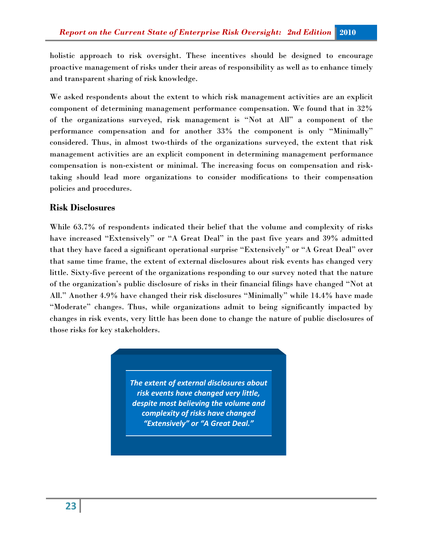holistic approach to risk oversight. These incentives should be designed to encourage proactive management of risks under their areas of responsibility as well as to enhance timely and transparent sharing of risk knowledge.

We asked respondents about the extent to which risk management activities are an explicit component of determining management performance compensation. We found that in 32% of the organizations surveyed, risk management is "Not at All" a component of the performance compensation and for another 33% the component is only "Minimally" considered. Thus, in almost two-thirds of the organizations surveyed, the extent that risk management activities are an explicit component in determining management performance compensation is non-existent or minimal. The increasing focus on compensation and risktaking should lead more organizations to consider modifications to their compensation policies and procedures.

#### **Risk Disclosures**

While 63.7% of respondents indicated their belief that the volume and complexity of risks have increased "Extensively" or "A Great Deal" in the past five years and 39% admitted that they have faced a significant operational surprise "Extensively" or "A Great Deal" over that same time frame, the extent of external disclosures about risk events has changed very little. Sixty-five percent of the organizations responding to our survey noted that the nature of the organization's public disclosure of risks in their financial filings have changed "Not at All." Another 4.9% have changed their risk disclosures "Minimally" while 14.4% have made "Moderate" changes. Thus, while organizations admit to being significantly impacted by changes in risk events, very little has been done to change the nature of public disclosures of those risks for key stakeholders.

> *The extent of external disclosures about risk events have changed very little, despite most believing the volume and complexity of risks have changed "Extensively" or "A Great Deal."*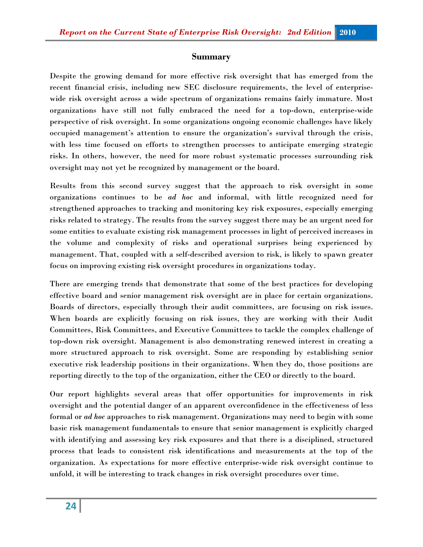#### **Summary**

Despite the growing demand for more effective risk oversight that has emerged from the recent financial crisis, including new SEC disclosure requirements, the level of enterprisewide risk oversight across a wide spectrum of organizations remains fairly immature. Most organizations have still not fully embraced the need for a top-down, enterprise-wide perspective of risk oversight. In some organizations ongoing economic challenges have likely occupied management's attention to ensure the organization's survival through the crisis, with less time focused on efforts to strengthen processes to anticipate emerging strategic risks. In others, however, the need for more robust systematic processes surrounding risk oversight may not yet be recognized by management or the board.

Results from this second survey suggest that the approach to risk oversight in some organizations continues to be *ad hoc* and informal, with little recognized need for strengthened approaches to tracking and monitoring key risk exposures, especially emerging risks related to strategy. The results from the survey suggest there may be an urgent need for some entities to evaluate existing risk management processes in light of perceived increases in the volume and complexity of risks and operational surprises being experienced by management. That, coupled with a self-described aversion to risk, is likely to spawn greater focus on improving existing risk oversight procedures in organizations today.

There are emerging trends that demonstrate that some of the best practices for developing effective board and senior management risk oversight are in place for certain organizations. Boards of directors, especially through their audit committees, are focusing on risk issues. When boards are explicitly focusing on risk issues, they are working with their Audit Committees, Risk Committees, and Executive Committees to tackle the complex challenge of top-down risk oversight. Management is also demonstrating renewed interest in creating a more structured approach to risk oversight. Some are responding by establishing senior executive risk leadership positions in their organizations. When they do, those positions are reporting directly to the top of the organization, either the CEO or directly to the board.

Our report highlights several areas that offer opportunities for improvements in risk oversight and the potential danger of an apparent overconfidence in the effectiveness of less formal or *ad hoc* approaches to risk management. Organizations may need to begin with some basic risk management fundamentals to ensure that senior management is explicitly charged with identifying and assessing key risk exposures and that there is a disciplined, structured process that leads to consistent risk identifications and measurements at the top of the organization. As expectations for more effective enterprise-wide risk oversight continue to unfold, it will be interesting to track changes in risk oversight procedures over time.